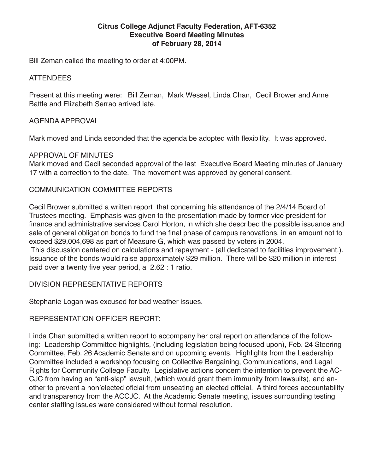#### **Citrus College Adjunct Faculty Federation, AFT-6352 Executive Board Meeting Minutes of February 28, 2014**

Bill Zeman called the meeting to order at 4:00PM.

#### ATTENDEES

Present at this meeting were: Bill Zeman, Mark Wessel, Linda Chan, Cecil Brower and Anne Battle and Elizabeth Serrao arrived late.

#### AGENDA APPROVAL

Mark moved and Linda seconded that the agenda be adopted with flexibility. It was approved.

# APPROVAL OF MINUTES

Mark moved and Cecil seconded approval of the last Executive Board Meeting minutes of January 17 with a correction to the date. The movement was approved by general consent.

#### COMMUNICATION COMMITTEE REPORTS

Cecil Brower submitted a written report that concerning his attendance of the 2/4/14 Board of Trustees meeting. Emphasis was given to the presentation made by former vice president for finance and administrative services Carol Horton, in which she described the possible issuance and sale of general obligation bonds to fund the final phase of campus renovations, in an amount not to exceed \$29,004,698 as part of Measure G, which was passed by voters in 2004.

 This discussion centered on calculations and repayment - (all dedicated to facilities improvement.). Issuance of the bonds would raise approximately \$29 million. There will be \$20 million in interest paid over a twenty five year period, a 2.62 : 1 ratio.

DIVISION REPRESENTATIVE REPORTS

Stephanie Logan was excused for bad weather issues.

# REPRESENTATION OFFICER REPORT:

Linda Chan submitted a written report to accompany her oral report on attendance of the following: Leadership Committee highlights, (including legislation being focused upon), Feb. 24 Steering Committee, Feb. 26 Academic Senate and on upcoming events. Highlights from the Leadership Committee included a workshop focusing on Collective Bargaining, Communications, and Legal Rights for Community College Faculty. Legislative actions concern the intention to prevent the AC-CJC from having an "anti-slap" lawsuit, (which would grant them immunity from lawsuits), and another to prevent a non'elected oficial from unseating an elected official. A third forces accountability and transparency from the ACCJC. At the Academic Senate meeting, issues surrounding testing center staffing issues were considered without formal resolution.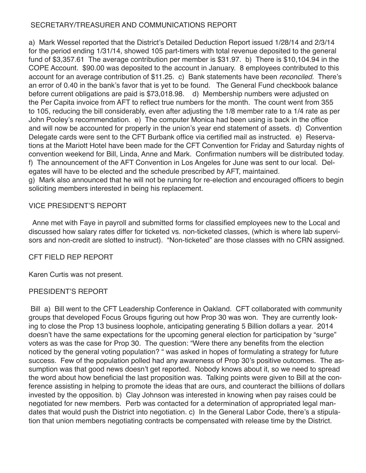# SECRETARY/TREASURER AND COMMUNICATIONS REPORT

a) Mark Wessel reported that the District's Detailed Deduction Report issued 1/28/14 and 2/3/14 for the period ending 1/31/14, showed 105 part-timers with total revenue deposited to the general fund of \$3,357.61 The average contribution per member is \$31.97. b) There is \$10,104.94 in the COPE Account. \$90.00 was deposited to the account in January. 8 employees contributed to this account for an average contribution of \$11.25. c) Bank statements have been *reconciled.* There's an error of 0.40 in the bank's favor that is yet to be found. The General Fund checkbook balance before current obligations are paid is \$73,018.98. d) Membership numbers were adjusted on the Per Capita invoice from AFT to reflect true numbers for the month. The count went from 355 to 105, reducing the bill considerably, even after adjusting the 1/8 member rate to a 1/4 rate as per John Pooley's recommendation. e) The computer Monica had been using is back in the office and will now be accounted for properly in the union's year end statement of assets. d) Convention Delegate cards were sent to the CFT Burbank office via certified mail as instructed. e) Reservations at the Mariott Hotel have been made for the CFT Convention for Friday and Saturday nights of convention weekend for Bill, Linda, Anne and Mark. Confirmation numbers will be distributed today. f) The announcement of the AFT Convention in Los Angeles for June was sent to our local. Delegates will have to be elected and the schedule prescribed by AFT, maintained.

g) Mark also announced that he will not be running for re-election and encouraged officers to begin soliciting members interested in being his replacement.

# VICE PRESIDENT'S REPORT

 Anne met with Faye in payroll and submitted forms for classified employees new to the Local and discussed how salary rates differ for ticketed vs. non-ticketed classes, (which is where lab supervisors and non-credit are slotted to instruct). "Non-ticketed" are those classes with no CRN assigned.

# CFT FIELD REP REPORT

Karen Curtis was not present.

# PRESIDENT'S REPORT

 Bill a) Bill went to the CFT Leadership Conference in Oakland. CFT collaborated with community groups that developed Focus Groups figuring out how Prop 30 was won. They are currently looking to close the Prop 13 business loophole, anticipating generating 5 Billion dollars a year. 2014 doesn't have the same expectations for the upcoming general election for participation by "surge" voters as was the case for Prop 30. The question: "Were there any benefits from the election noticed by the general voting population? " was asked in hopes of formulating a strategy for future success. Few of the population polled had any awareness of Prop 30's positive outcomes. The assumption was that good news doesn't get reported. Nobody knows about it, so we need to spread the word about how beneficial the last proposition was. Talking points were given to Bill at the conference assisting in helping to promote the ideas that are ours, and counteract the billiions of dollars invested by the opposition. b) Clay Johnson was interested in knowing when pay raises could be negotiated for new members. Perb was contacted for a determination of appropriated legal mandates that would push the District into negotiation. c) In the General Labor Code, there's a stipulation that union members negotiating contracts be compensated with release time by the District.